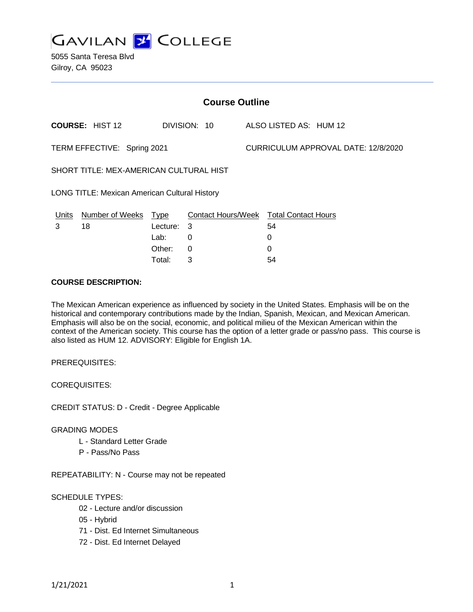

5055 Santa Teresa Blvd Gilroy, CA 95023

| <b>Course Outline</b>                                |                        |             |                                        |  |                                     |  |  |  |
|------------------------------------------------------|------------------------|-------------|----------------------------------------|--|-------------------------------------|--|--|--|
|                                                      | <b>COURSE: HIST 12</b> |             | DIVISION: 10                           |  | ALSO LISTED AS: HUM 12              |  |  |  |
| TERM EFFECTIVE: Spring 2021                          |                        |             |                                        |  | CURRICULUM APPROVAL DATE: 12/8/2020 |  |  |  |
| SHORT TITLE: MEX-AMERICAN CULTURAL HIST              |                        |             |                                        |  |                                     |  |  |  |
| <b>LONG TITLE: Mexican American Cultural History</b> |                        |             |                                        |  |                                     |  |  |  |
| Units                                                | <b>Number of Weeks</b> | <u>Type</u> | Contact Hours/Week Total Contact Hours |  |                                     |  |  |  |
| 3                                                    | 18                     | Lecture:    | 3                                      |  | 54                                  |  |  |  |
|                                                      |                        | Lab:        | 0                                      |  | 0                                   |  |  |  |
|                                                      |                        | Other:      | $\Omega$                               |  | 0                                   |  |  |  |
|                                                      |                        | Total:      | 3                                      |  | 54                                  |  |  |  |

#### **COURSE DESCRIPTION:**

The Mexican American experience as influenced by society in the United States. Emphasis will be on the historical and contemporary contributions made by the Indian, Spanish, Mexican, and Mexican American. Emphasis will also be on the social, economic, and political milieu of the Mexican American within the context of the American society. This course has the option of a letter grade or pass/no pass. This course is also listed as HUM 12. ADVISORY: Eligible for English 1A.

PREREQUISITES:

COREQUISITES:

CREDIT STATUS: D - Credit - Degree Applicable

#### GRADING MODES

- L Standard Letter Grade
- P Pass/No Pass

REPEATABILITY: N - Course may not be repeated

### SCHEDULE TYPES:

- 02 Lecture and/or discussion
- 05 Hybrid
- 71 Dist. Ed Internet Simultaneous
- 72 Dist. Ed Internet Delayed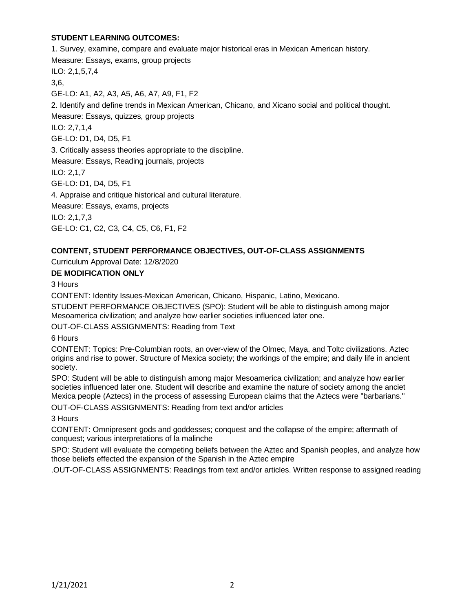## **STUDENT LEARNING OUTCOMES:**

1. Survey, examine, compare and evaluate major historical eras in Mexican American history. Measure: Essays, exams, group projects ILO: 2,1,5,7,4 3,6, GE-LO: A1, A2, A3, A5, A6, A7, A9, F1, F2 2. Identify and define trends in Mexican American, Chicano, and Xicano social and political thought. Measure: Essays, quizzes, group projects ILO: 2,7,1,4 GE-LO: D1, D4, D5, F1 3. Critically assess theories appropriate to the discipline. Measure: Essays, Reading journals, projects ILO: 2,1,7 GE-LO: D1, D4, D5, F1 4. Appraise and critique historical and cultural literature. Measure: Essays, exams, projects ILO: 2,1,7,3 GE-LO: C1, C2, C3, C4, C5, C6, F1, F2

## **CONTENT, STUDENT PERFORMANCE OBJECTIVES, OUT-OF-CLASS ASSIGNMENTS**

Curriculum Approval Date: 12/8/2020

## **DE MODIFICATION ONLY**

3 Hours

CONTENT: Identity Issues-Mexican American, Chicano, Hispanic, Latino, Mexicano.

STUDENT PERFORMANCE OBJECTIVES (SPO): Student will be able to distinguish among major Mesoamerica civilization; and analyze how earlier societies influenced later one.

OUT-OF-CLASS ASSIGNMENTS: Reading from Text

6 Hours

CONTENT: Topics: Pre-Columbian roots, an over-view of the Olmec, Maya, and Toltc civilizations. Aztec origins and rise to power. Structure of Mexica society; the workings of the empire; and daily life in ancient society.

SPO: Student will be able to distinguish among major Mesoamerica civilization; and analyze how earlier societies influenced later one. Student will describe and examine the nature of society among the anciet Mexica people (Aztecs) in the process of assessing European claims that the Aztecs were "barbarians."

OUT-OF-CLASS ASSIGNMENTS: Reading from text and/or articles

3 Hours

CONTENT: Omnipresent gods and goddesses; conquest and the collapse of the empire; aftermath of conquest; various interpretations of la malinche

SPO: Student will evaluate the competing beliefs between the Aztec and Spanish peoples, and analyze how those beliefs effected the expansion of the Spanish in the Aztec empire

.OUT-OF-CLASS ASSIGNMENTS: Readings from text and/or articles. Written response to assigned reading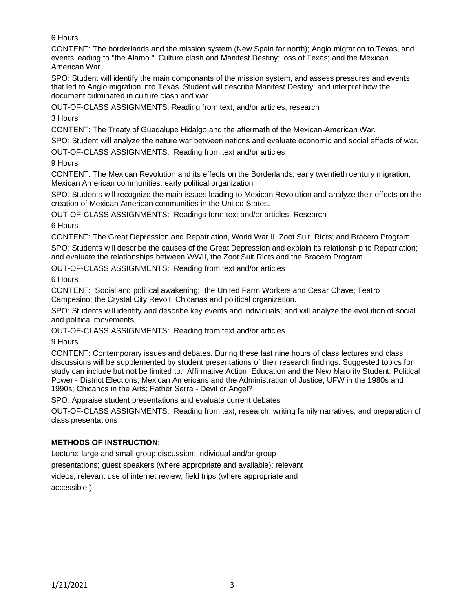## 6 Hours

CONTENT: The borderlands and the mission system (New Spain far north); Anglo migration to Texas, and events leading to "the Alamo." Culture clash and Manifest Destiny; loss of Texas; and the Mexican American War

SPO: Student will identify the main componants of the mission system, and assess pressures and events that led to Anglo migration into Texas. Student will describe Manifest Destiny, and interpret how the document culminated in culture clash and war.

OUT-OF-CLASS ASSIGNMENTS: Reading from text, and/or articles, research

3 Hours

CONTENT: The Treaty of Guadalupe Hidalgo and the aftermath of the Mexican-American War.

SPO: Student will analyze the nature war between nations and evaluate economic and social effects of war.

OUT-OF-CLASS ASSIGNMENTS: Reading from text and/or articles

9 Hours

CONTENT: The Mexican Revolution and its effects on the Borderlands; early twentieth century migration, Mexican American communities; early political organization

SPO: Students will recognize the main issues leading to Mexican Revolution and analyze their effects on the creation of Mexican American communities in the United States.

OUT-OF-CLASS ASSIGNMENTS: Readings form text and/or articles. Research

6 Hours

CONTENT: The Great Depression and Repatriation, World War II, Zoot Suit Riots; and Bracero Program SPO: Students will describe the causes of the Great Depression and explain its relationship to Repatriation; and evaluate the relationships between WWII, the Zoot Suit Riots and the Bracero Program.

OUT-OF-CLASS ASSIGNMENTS: Reading from text and/or articles

6 Hours

CONTENT: Social and political awakening; the United Farm Workers and Cesar Chave; Teatro Campesino; the Crystal City Revolt; Chicanas and political organization.

SPO: Students will identify and describe key events and individuals; and will analyze the evolution of social and political movements.

OUT-OF-CLASS ASSIGNMENTS: Reading from text and/or articles

9 Hours

CONTENT: Contemporary issues and debates. During these last nine hours of class lectures and class discussions will be supplemented by student presentations of their research findings. Suggested topics for study can include but not be limited to: Affirmative Action; Education and the New Majority Student; Political Power - District Elections; Mexican Americans and the Administration of Justice; UFW in the 1980s and 1990s; Chicanos in the Arts; Father Serra - Devil or Angel?

SPO: Appraise student presentations and evaluate current debates

OUT-OF-CLASS ASSIGNMENTS: Reading from text, research, writing family narratives, and preparation of class presentations

## **METHODS OF INSTRUCTION:**

Lecture; large and small group discussion; individual and/or group

presentations; guest speakers (where appropriate and available); relevant

videos; relevant use of internet review; field trips (where appropriate and accessible.)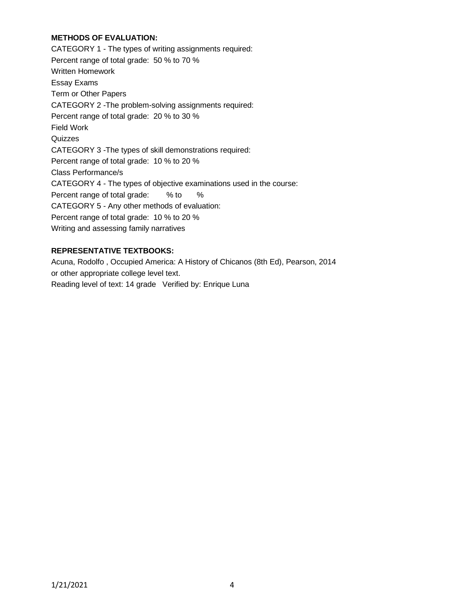## **METHODS OF EVALUATION:**

CATEGORY 1 - The types of writing assignments required: Percent range of total grade: 50 % to 70 % Written Homework Essay Exams Term or Other Papers CATEGORY 2 -The problem-solving assignments required: Percent range of total grade: 20 % to 30 % Field Work **Quizzes** CATEGORY 3 -The types of skill demonstrations required: Percent range of total grade: 10 % to 20 % Class Performance/s CATEGORY 4 - The types of objective examinations used in the course: Percent range of total grade: % to % CATEGORY 5 - Any other methods of evaluation: Percent range of total grade: 10 % to 20 % Writing and assessing family narratives

## **REPRESENTATIVE TEXTBOOKS:**

Acuna, Rodolfo , Occupied America: A History of Chicanos (8th Ed), Pearson, 2014 or other appropriate college level text. Reading level of text: 14 grade Verified by: Enrique Luna